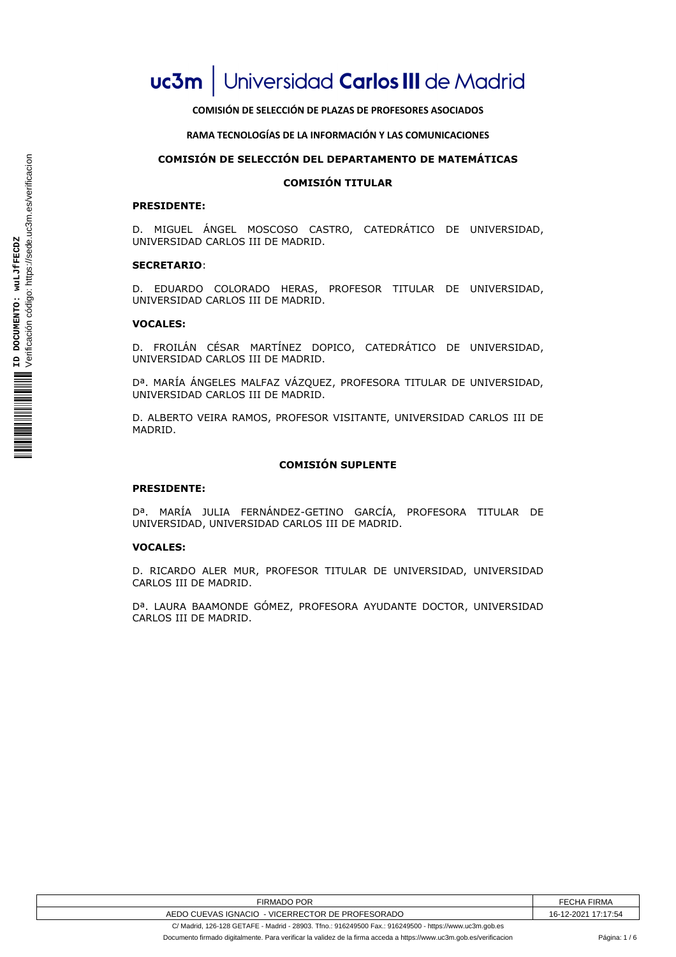# **COMISIÓN DE SELECCIÓN DE PLAZAS DE PROFESORES ASOCIADOS**

## **RAMA TECNOLOGÍAS DE LA INFORMACIÓN Y LAS COMUNICACIONES**

# **COMISIÓN DE SELECCIÓN DEL DEPARTAMENTO DE MATEMÁTICAS**

# **COMISIÓN TITULAR**

### **PRESIDENTE:**

D. MIGUEL ÁNGEL MOSCOSO CASTRO, CATEDRÁTICO DE UNIVERSIDAD, UNIVERSIDAD CARLOS III DE MADRID.

#### **SECRETARIO**:

D. EDUARDO COLORADO HERAS, PROFESOR TITULAR DE UNIVERSIDAD, UNIVERSIDAD CARLOS III DE MADRID.

#### **VOCALES:**

D. FROILÁN CÉSAR MARTÍNEZ DOPICO, CATEDRÁTICO DE UNIVERSIDAD, UNIVERSIDAD CARLOS III DE MADRID.

Dª. MARÍA ÁNGELES MALFAZ VÁZQUEZ, PROFESORA TITULAR DE UNIVERSIDAD, UNIVERSIDAD CARLOS III DE MADRID.

D. ALBERTO VEIRA RAMOS, PROFESOR VISITANTE, UNIVERSIDAD CARLOS III DE MADRID.

## **COMISIÓN SUPLENTE**

#### **PRESIDENTE:**

Dª. MARÍA JULIA FERNÁNDEZ-GETINO GARCÍA, PROFESORA TITULAR DE UNIVERSIDAD, UNIVERSIDAD CARLOS III DE MADRID.

#### **VOCALES:**

D. RICARDO ALER MUR, PROFESOR TITULAR DE UNIVERSIDAD, UNIVERSIDAD CARLOS III DE MADRID.

Dª. LAURA BAAMONDE GÓMEZ, PROFESORA AYUDANTE DOCTOR, UNIVERSIDAD CARLOS III DE MADRID.

| <b>POR</b><br><b>FIRMAL</b>                                        | <b>FIRMA</b><br>:нA<br>--  |
|--------------------------------------------------------------------|----------------------------|
| ) CUEVAS IGNACIO<br>DE PROFESORADO<br><b>LEVICERRECTOR</b><br>AEDO | 7:17:54<br>2-2021 ،<br>16- |
|                                                                    |                            |

C/ Madrid, 126-128 GETAFE - Madrid - 28903. Tfno.: 916249500 Fax.: 916249500 - https://www.uc3m.gob.es Documento firmado digitalmente. Para verificar la validez de la firma acceda a https://www.uc3m.gob.es/verificacion Página: 1 / 6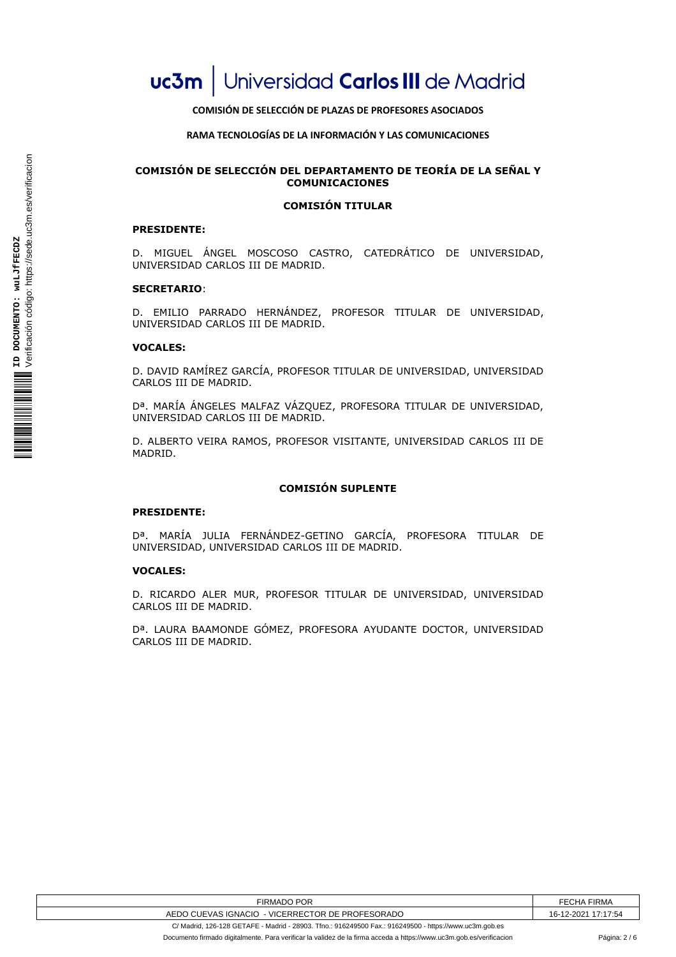# **COMISIÓN DE SELECCIÓN DE PLAZAS DE PROFESORES ASOCIADOS**

## **RAMA TECNOLOGÍAS DE LA INFORMACIÓN Y LAS COMUNICACIONES**

# **COMISIÓN DE SELECCIÓN DEL DEPARTAMENTO DE TEORÍA DE LA SEÑAL Y COMUNICACIONES**

# **COMISIÓN TITULAR**

## **PRESIDENTE:**

D. MIGUEL ÁNGEL MOSCOSO CASTRO, CATEDRÁTICO DE UNIVERSIDAD, UNIVERSIDAD CARLOS III DE MADRID.

## **SECRETARIO**:

D. EMILIO PARRADO HERNÁNDEZ, PROFESOR TITULAR DE UNIVERSIDAD, UNIVERSIDAD CARLOS III DE MADRID.

#### **VOCALES:**

D. DAVID RAMÍREZ GARCÍA, PROFESOR TITULAR DE UNIVERSIDAD, UNIVERSIDAD CARLOS III DE MADRID.

Dª. MARÍA ÁNGELES MALFAZ VÁZQUEZ, PROFESORA TITULAR DE UNIVERSIDAD, UNIVERSIDAD CARLOS III DE MADRID.

D. ALBERTO VEIRA RAMOS, PROFESOR VISITANTE, UNIVERSIDAD CARLOS III DE MADRID.

## **COMISIÓN SUPLENTE**

#### **PRESIDENTE:**

Dª. MARÍA JULIA FERNÁNDEZ-GETINO GARCÍA, PROFESORA TITULAR DE UNIVERSIDAD, UNIVERSIDAD CARLOS III DE MADRID.

#### **VOCALES:**

D. RICARDO ALER MUR, PROFESOR TITULAR DE UNIVERSIDAD, UNIVERSIDAD CARLOS III DE MADRID.

Dª. LAURA BAAMONDE GÓMEZ, PROFESORA AYUDANTE DOCTOR, UNIVERSIDAD CARLOS III DE MADRID.

| POR<br>FIRMADO                                                             | FF<br><b>FIRMA</b><br>_CHA |
|----------------------------------------------------------------------------|----------------------------|
| <b>CUEVAS IGNACIO</b><br>: PROFESORADO<br>ּ∩ח<br><b>VICERRECTOR</b><br>DE. | 7:17:54<br>2-202<br>'ю́∹   |

C/ Madrid, 126-128 GETAFE - Madrid - 28903. Tfno.: 916249500 Fax.: 916249500 - https://www.uc3m.gob.es Documento firmado digitalmente. Para verificar la validez de la firma acceda a https://www.uc3m.gob.es/verificacion Página: 2 / 6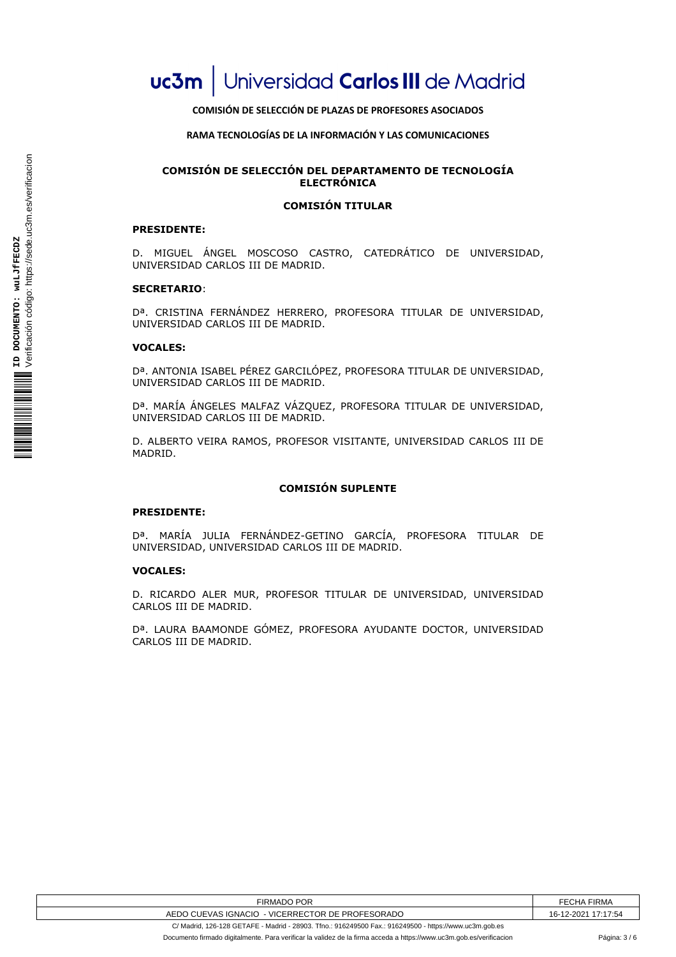# **COMISIÓN DE SELECCIÓN DE PLAZAS DE PROFESORES ASOCIADOS**

## **RAMA TECNOLOGÍAS DE LA INFORMACIÓN Y LAS COMUNICACIONES**

# **COMISIÓN DE SELECCIÓN DEL DEPARTAMENTO DE TECNOLOGÍA ELECTRÓNICA**

# **COMISIÓN TITULAR**

## **PRESIDENTE:**

D. MIGUEL ÁNGEL MOSCOSO CASTRO, CATEDRÁTICO DE UNIVERSIDAD, UNIVERSIDAD CARLOS III DE MADRID.

# **SECRETARIO**:

Dª. CRISTINA FERNÁNDEZ HERRERO, PROFESORA TITULAR DE UNIVERSIDAD, UNIVERSIDAD CARLOS III DE MADRID.

#### **VOCALES:**

Dª. ANTONIA ISABEL PÉREZ GARCILÓPEZ, PROFESORA TITULAR DE UNIVERSIDAD, UNIVERSIDAD CARLOS III DE MADRID.

Dª. MARÍA ÁNGELES MALFAZ VÁZQUEZ, PROFESORA TITULAR DE UNIVERSIDAD, UNIVERSIDAD CARLOS III DE MADRID.

D. ALBERTO VEIRA RAMOS, PROFESOR VISITANTE, UNIVERSIDAD CARLOS III DE MADRID.

## **COMISIÓN SUPLENTE**

#### **PRESIDENTE:**

Dª. MARÍA JULIA FERNÁNDEZ-GETINO GARCÍA, PROFESORA TITULAR DE UNIVERSIDAD, UNIVERSIDAD CARLOS III DE MADRID.

## **VOCALES:**

D. RICARDO ALER MUR, PROFESOR TITULAR DE UNIVERSIDAD, UNIVERSIDAD CARLOS III DE MADRID.

Dª. LAURA BAAMONDE GÓMEZ, PROFESORA AYUDANTE DOCTOR, UNIVERSIDAD CARLOS III DE MADRID.

| POR<br>FIRMADO L             | FF<br><b>FIRMA</b><br>_CHA |
|------------------------------|----------------------------|
| <b>CUEVAS IGNACIO</b>        | 7:17:54                    |
| - VICERRECTOR DE PROFESORADO | 2-202                      |
| AEDO <sup>®</sup>            | ר-טי                       |

C/ Madrid, 126-128 GETAFE - Madrid - 28903. Tfno.: 916249500 Fax.: 916249500 - https://www.uc3m.gob.es Documento firmado digitalmente. Para verificar la validez de la firma acceda a https://www.uc3m.gob.es/verificacion Página: 3 / 6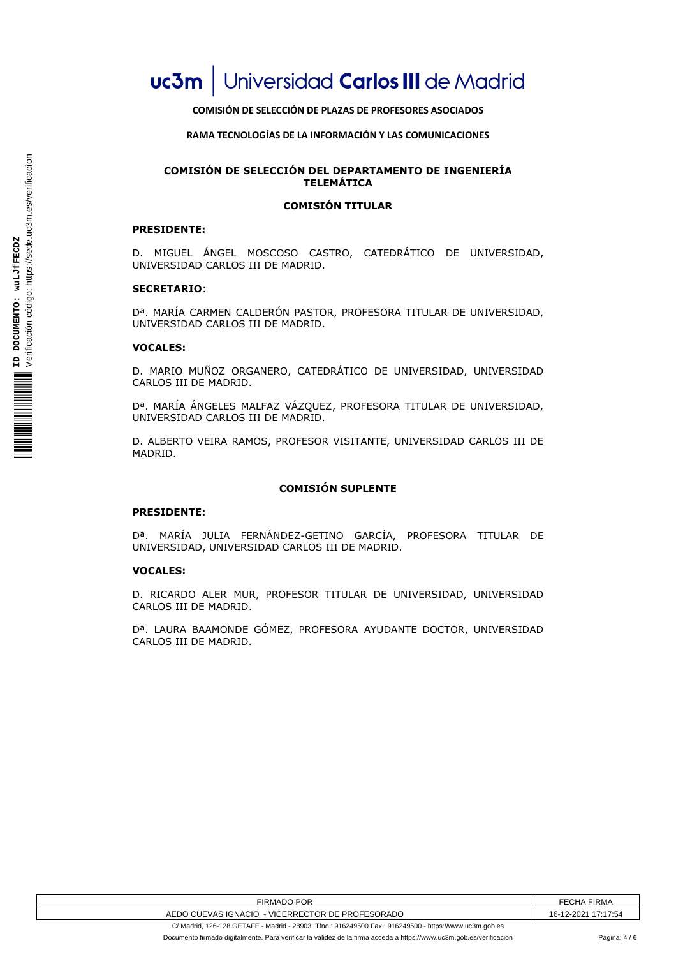# **COMISIÓN DE SELECCIÓN DE PLAZAS DE PROFESORES ASOCIADOS**

## **RAMA TECNOLOGÍAS DE LA INFORMACIÓN Y LAS COMUNICACIONES**

# **COMISIÓN DE SELECCIÓN DEL DEPARTAMENTO DE INGENIERÍA TELEMÁTICA**

# **COMISIÓN TITULAR**

## **PRESIDENTE:**

D. MIGUEL ÁNGEL MOSCOSO CASTRO, CATEDRÁTICO DE UNIVERSIDAD, UNIVERSIDAD CARLOS III DE MADRID.

## **SECRETARIO**:

Dª. MARÍA CARMEN CALDERÓN PASTOR, PROFESORA TITULAR DE UNIVERSIDAD, UNIVERSIDAD CARLOS III DE MADRID.

## **VOCALES:**

D. MARIO MUÑOZ ORGANERO, CATEDRÁTICO DE UNIVERSIDAD, UNIVERSIDAD CARLOS III DE MADRID.

Dª. MARÍA ÁNGELES MALFAZ VÁZQUEZ, PROFESORA TITULAR DE UNIVERSIDAD, UNIVERSIDAD CARLOS III DE MADRID.

D. ALBERTO VEIRA RAMOS, PROFESOR VISITANTE, UNIVERSIDAD CARLOS III DE MADRID.

## **COMISIÓN SUPLENTE**

#### **PRESIDENTE:**

Dª. MARÍA JULIA FERNÁNDEZ-GETINO GARCÍA, PROFESORA TITULAR DE UNIVERSIDAD, UNIVERSIDAD CARLOS III DE MADRID.

#### **VOCALES:**

D. RICARDO ALER MUR, PROFESOR TITULAR DE UNIVERSIDAD, UNIVERSIDAD CARLOS III DE MADRID.

Dª. LAURA BAAMONDE GÓMEZ, PROFESORA AYUDANTE DOCTOR, UNIVERSIDAD CARLOS III DE MADRID.

| <b>POR</b>                                             | FECHA            |
|--------------------------------------------------------|------------------|
| ·IRMADO                                                | <b>FIRMA</b>     |
| CUEVAS IGNACIO<br>- VICERRECTOR DE PROFESORADO<br>AEDC | 7:17:54<br>2-202 |

C/ Madrid, 126-128 GETAFE - Madrid - 28903. Tfno.: 916249500 Fax.: 916249500 - https://www.uc3m.gob.es Documento firmado digitalmente. Para verificar la validez de la firma acceda a https://www.uc3m.gob.es/verificacion Página: 4 / 6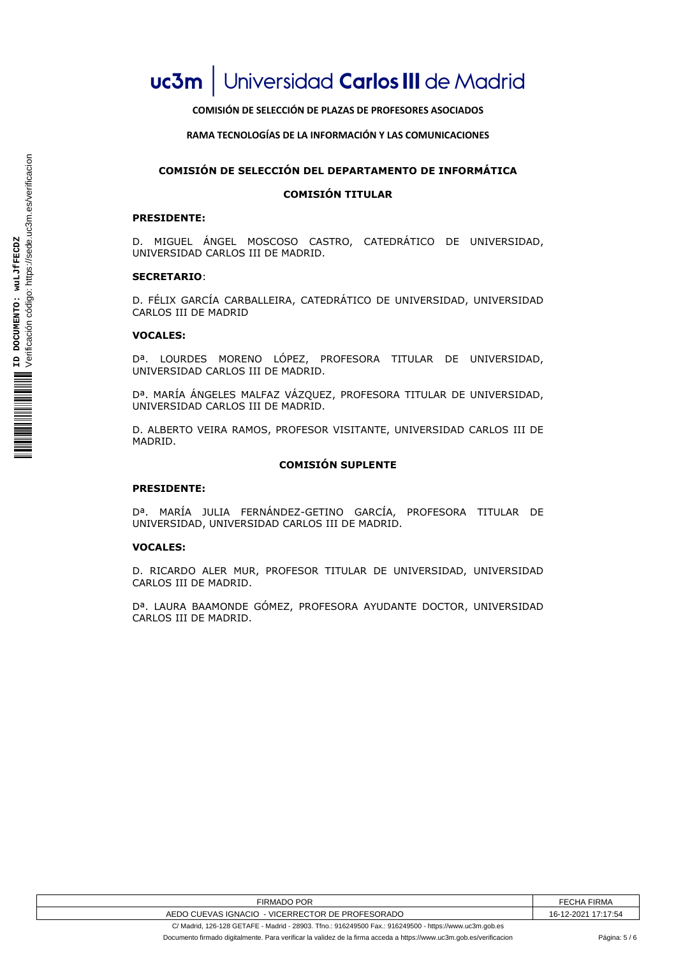**COMISIÓN DE SELECCIÓN DE PLAZAS DE PROFESORES ASOCIADOS**

**RAMA TECNOLOGÍAS DE LA INFORMACIÓN Y LAS COMUNICACIONES**

# **COMISIÓN DE SELECCIÓN DEL DEPARTAMENTO DE INFORMÁTICA**

## **COMISIÓN TITULAR**

# **PRESIDENTE:**

D. MIGUEL ÁNGEL MOSCOSO CASTRO, CATEDRÁTICO DE UNIVERSIDAD, UNIVERSIDAD CARLOS III DE MADRID.

#### **SECRETARIO**:

D. FÉLIX GARCÍA CARBALLEIRA, CATEDRÁTICO DE UNIVERSIDAD, UNIVERSIDAD CARLOS III DE MADRID

#### **VOCALES:**

Dª. LOURDES MORENO LÓPEZ, PROFESORA TITULAR DE UNIVERSIDAD, UNIVERSIDAD CARLOS III DE MADRID.

Dª. MARÍA ÁNGELES MALFAZ VÁZQUEZ, PROFESORA TITULAR DE UNIVERSIDAD, UNIVERSIDAD CARLOS III DE MADRID.

D. ALBERTO VEIRA RAMOS, PROFESOR VISITANTE, UNIVERSIDAD CARLOS III DE MADRID.

#### **COMISIÓN SUPLENTE**

#### **PRESIDENTE:**

Dª. MARÍA JULIA FERNÁNDEZ-GETINO GARCÍA, PROFESORA TITULAR DE UNIVERSIDAD, UNIVERSIDAD CARLOS III DE MADRID.

#### **VOCALES:**

D. RICARDO ALER MUR, PROFESOR TITULAR DE UNIVERSIDAD, UNIVERSIDAD CARLOS III DE MADRID.

Dª. LAURA BAAMONDE GÓMEZ, PROFESORA AYUDANTE DOCTOR, UNIVERSIDAD CARLOS III DE MADRID.

| FIRMADO POR                                                                                            | <b>FECHA FIRMA</b>  |
|--------------------------------------------------------------------------------------------------------|---------------------|
| AEDO CUEVAS IGNACIO - VICERRECTOR DE PROFESORADO                                                       | 16-12-2021 17:17:54 |
| C/ Madrid, 126-128 GETAFE - Madrid - 28903, Tfno.: 916249500 Fax.: 916249500 - https://www.uc3m.gob.es |                     |

Documento firmado digitalmente. Para verificar la validez de la firma acceda a https://www.uc3m.gob.es/verificacion Página: 5 / 6